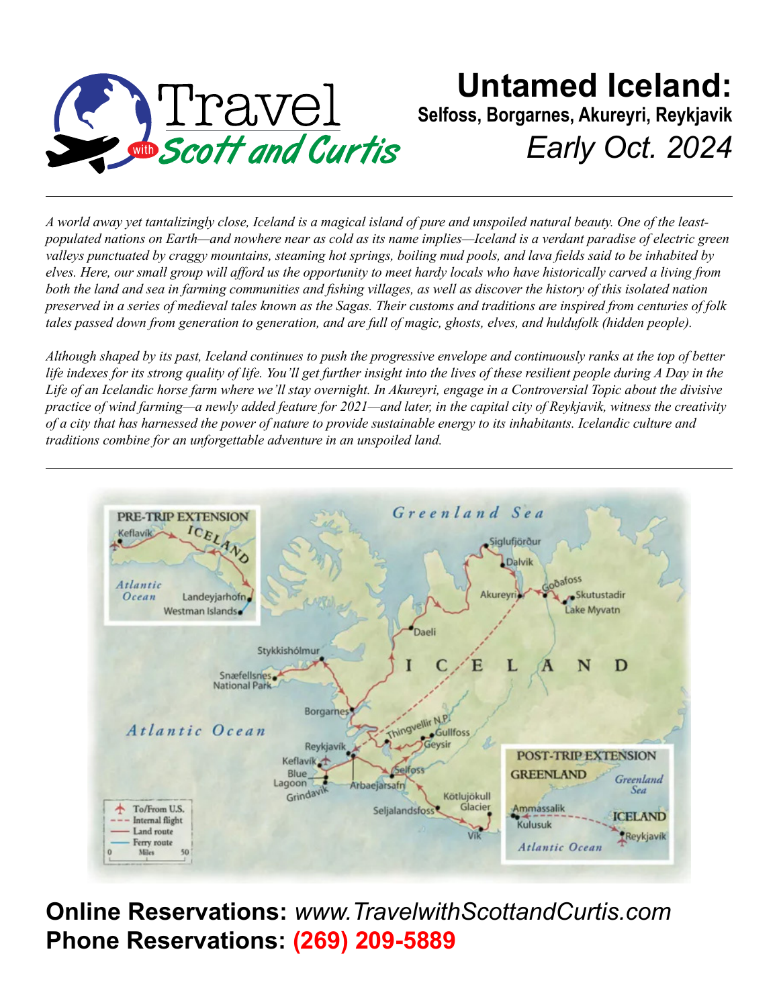

## **Untamed Iceland: Selfoss, Borgarnes, Akureyri, Reykjavik** *Early Oct. 2024*

*A world away yet tantalizingly close, Iceland is a magical island of pure and unspoiled natural beauty. One of the leastpopulated nations on Earth—and nowhere near as cold as its name implies—Iceland is a verdant paradise of electric green valleys punctuated by craggy mountains, steaming hot springs, boiling mud pools, and lava fields said to be inhabited by elves. Here, our small group will afford us the opportunity to meet hardy locals who have historically carved a living from both the land and sea in farming communities and fishing villages, as well as discover the history of this isolated nation preserved in a series of medieval tales known as the Sagas. Their customs and traditions are inspired from centuries of folk tales passed down from generation to generation, and are full of magic, ghosts, elves, and huldufolk (hidden people).*

*Although shaped by its past, Iceland continues to push the progressive envelope and continuously ranks at the top of better life indexes for its strong quality of life. You'll get further insight into the lives of these resilient people during A Day in the Life of an Icelandic horse farm where we'll stay overnight. In Akureyri, engage in a Controversial Topic about the divisive practice of wind farming—a newly added feature for 2021—and later, in the capital city of Reykjavik, witness the creativity of a city that has harnessed the power of nature to provide sustainable energy to its inhabitants. Icelandic culture and traditions combine for an unforgettable adventure in an unspoiled land.*



**Online Reservations:** *www.TravelwithScottandCurtis.com* **Phone Reservations: (269) 209-5889**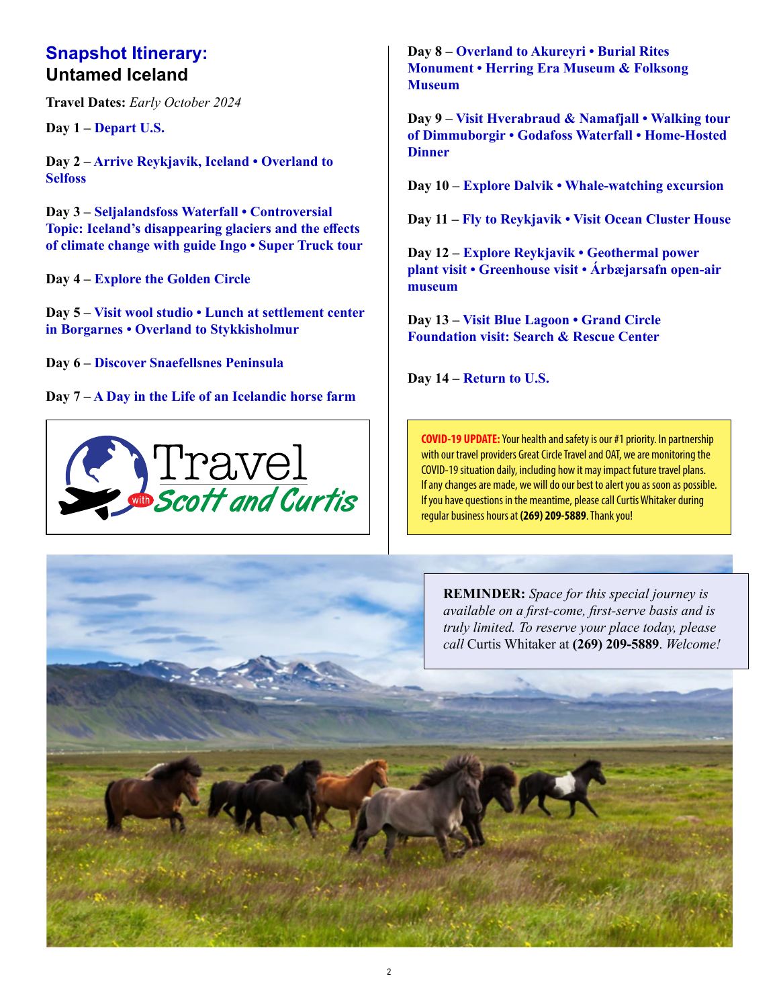#### **Snapshot Itinerary: Untamed Iceland**

**Travel Dates:** *Early October 2024*

**Day 1 – Depart U.S.**

**Day 2 – Arrive Reykjavik, Iceland • Overland to Selfoss**

**Day 3 – Seljalandsfoss Waterfall • Controversial Topic: Iceland's disappearing glaciers and the effects of climate change with guide Ingo • Super Truck tour**

**Day 4 – Explore the Golden Circle**

**Day 5 – Visit wool studio • Lunch at settlement center in Borgarnes • Overland to Stykkisholmur**

**Day 6 – Discover Snaefellsnes Peninsula**

**Day 7 – A Day in the Life of an Icelandic horse farm**



**Day 8 – Overland to Akureyri • Burial Rites Monument • Herring Era Museum & Folksong Museum**

**Day 9 – Visit Hverabraud & Namafjall • Walking tour of Dimmuborgir • Godafoss Waterfall • Home-Hosted Dinner**

**Day 10 – Explore Dalvik • Whale-watching excursion**

**Day 11 – Fly to Reykjavik • Visit Ocean Cluster House**

**Day 12 – Explore Reykjavik • Geothermal power plant visit • Greenhouse visit • Árbæjarsafn open-air museum**

**Day 13 – Visit Blue Lagoon • Grand Circle Foundation visit: Search & Rescue Center**

**Day 14 – Return to U.S.**

**COVID-19 UPDATE:** Your health and safety is our #1 priority. In partnership with our travel providers Great Circle Travel and OAT, we are monitoring the COVID-19 situation daily, including how it may impact future travel plans. If any changes are made, we will do our best to alert you as soon as possible. If you have questions in the meantime, please call Curtis Whitaker during regular business hours at **(269) 209-5889**. Thank you!

**REMINDER:** *Space for this special journey is available on a first-come, first-serve basis and is truly limited. To reserve your place today, please*